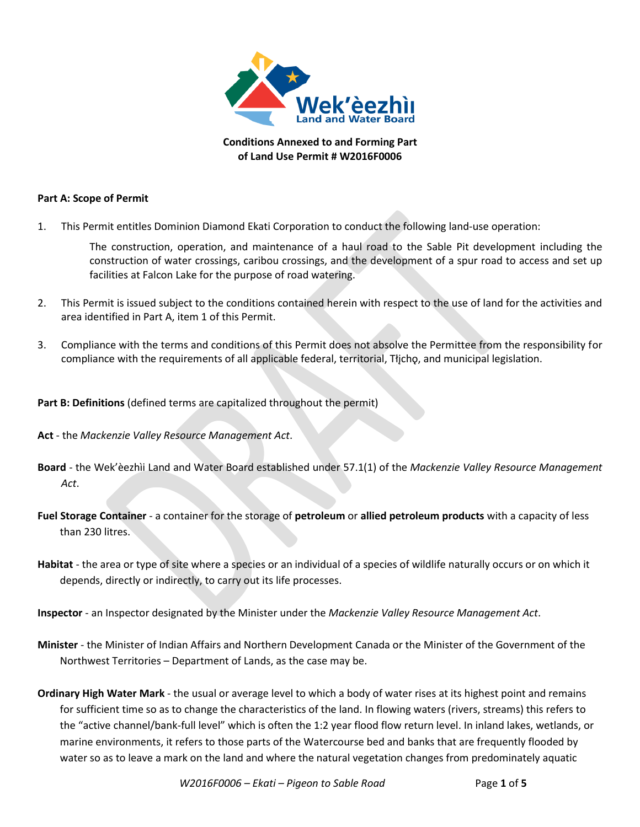

**Conditions Annexed to and Forming Part of Land Use Permit # W2016F0006**

## **Part A: Scope of Permit**

1. This Permit entitles Dominion Diamond Ekati Corporation to conduct the following land-use operation:

The construction, operation, and maintenance of a haul road to the Sable Pit development including the construction of water crossings, caribou crossings, and the development of a spur road to access and set up facilities at Falcon Lake for the purpose of road watering.

- 2. This Permit is issued subject to the conditions contained herein with respect to the use of land for the activities and area identified in Part A, item 1 of this Permit.
- 3. Compliance with the terms and conditions of this Permit does not absolve the Permittee from the responsibility for compliance with the requirements of all applicable federal, territorial, Tłjchǫ, and municipal legislation.

## **Part B: Definitions** (defined terms are capitalized throughout the permit)

- **Act** the *Mackenzie Valley Resource Management Act*.
- **Board** the Wek'èezhìi Land and Water Board established under 57.1(1) of the *Mackenzie Valley Resource Management Act*.
- **Fuel Storage Container** a container for the storage of **petroleum** or **allied petroleum products** with a capacity of less than 230 litres.
- **Habitat** the area or type of site where a species or an individual of a species of wildlife naturally occurs or on which it depends, directly or indirectly, to carry out its life processes.
- **Inspector**  an Inspector designated by the Minister under the *Mackenzie Valley Resource Management Act*.
- **Minister** the Minister of Indian Affairs and Northern Development Canada or the Minister of the Government of the Northwest Territories – Department of Lands, as the case may be.
- **Ordinary High Water Mark** the usual or average level to which a body of water rises at its highest point and remains for sufficient time so as to change the characteristics of the land. In flowing waters (rivers, streams) this refers to the "active channel/bank-full level" which is often the 1:2 year flood flow return level. In inland lakes, wetlands, or marine environments, it refers to those parts of the Watercourse bed and banks that are frequently flooded by water so as to leave a mark on the land and where the natural vegetation changes from predominately aquatic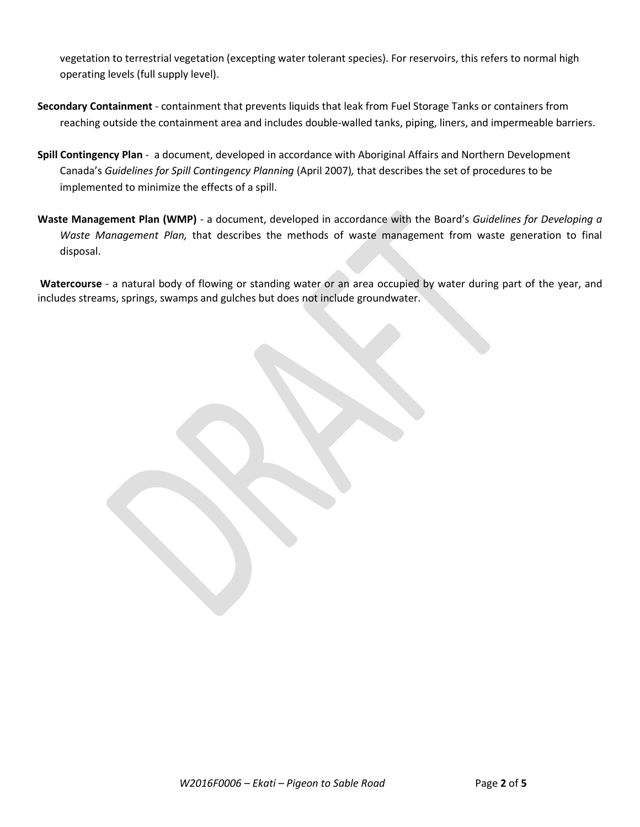vegetation to terrestrial vegetation (excepting water tolerant species). For reservoirs, this refers to normal high operating levels (full supply level).

- **Secondary Containment** containment that prevents liquids that leak from Fuel Storage Tanks or containers from reaching outside the containment area and includes double-walled tanks, piping, liners, and impermeable barriers.
- **Spill Contingency Plan** a document, developed in accordance with Aboriginal Affairs and Northern Development Canada's *Guidelines for Spill Contingency Planning* (April 2007)*,* that describes the set of procedures to be implemented to minimize the effects of a spill.
- **Waste Management Plan (WMP)** a document, developed in accordance with the Board's *Guidelines for Developing a Waste Management Plan,* that describes the methods of waste management from waste generation to final disposal.

**Watercourse** - a natural body of flowing or standing water or an area occupied by water during part of the year, and includes streams, springs, swamps and gulches but does not include groundwater.

*W2016F0006 – Ekati – Pigeon to Sable Road* Page **2** of **5**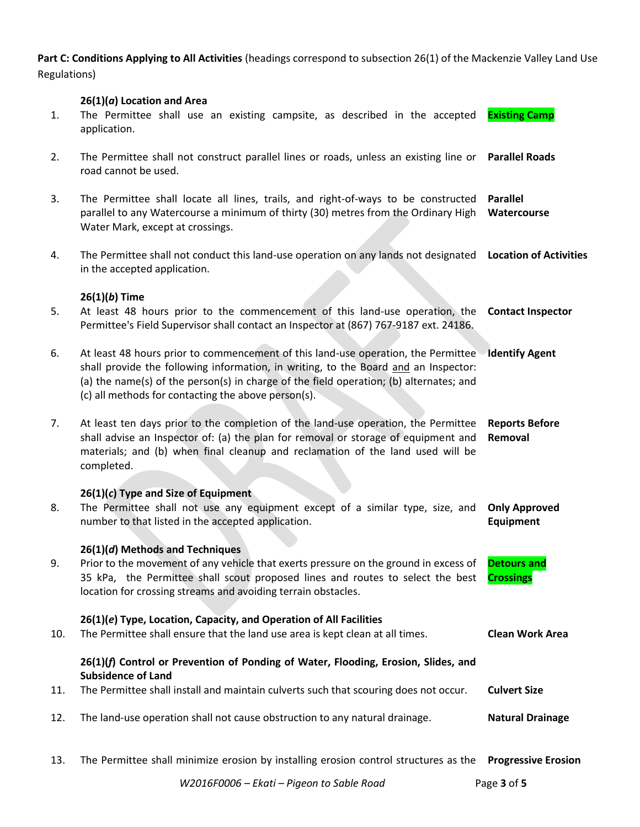**Part C: Conditions Applying to All Activities** (headings correspond to subsection 26(1) of the Mackenzie Valley Land Use Regulations)

### **26(1)(***a***) Location and Area**

- 1. The Permittee shall use an existing campsite, as described in the accepted application. **Existing Camp**
- 2. The Permittee shall not construct parallel lines or roads, unless an existing line or **Parallel Roads** road cannot be used.
- 3. The Permittee shall locate all lines, trails, and right-of-ways to be constructed **Parallel**  parallel to any Watercourse a minimum of thirty (30) metres from the Ordinary High Water Mark, except at crossings. **Watercourse**
- 4. The Permittee shall not conduct this land-use operation on any lands not designated **Location of Activities** in the accepted application.

#### **26(1)(***b***) Time**

| 5. | At least 48 hours prior to the commencement of this land-use operation, the <b>Contact Inspector</b><br>Permittee's Field Supervisor shall contact an Inspector at (867) 767-9187 ext. 24186.                                                                                                                                            |                                  |
|----|------------------------------------------------------------------------------------------------------------------------------------------------------------------------------------------------------------------------------------------------------------------------------------------------------------------------------------------|----------------------------------|
| 6. | At least 48 hours prior to commencement of this land-use operation, the Permittee Identify Agent<br>shall provide the following information, in writing, to the Board and an Inspector:<br>(a) the name(s) of the person(s) in charge of the field operation; (b) alternates; and<br>(c) all methods for contacting the above person(s). |                                  |
| 7. | At least ten days prior to the completion of the land-use operation, the Permittee<br>shall advise an Inspector of: (a) the plan for removal or storage of equipment and<br>materials; and (b) when final cleanup and reclamation of the land used will be<br>completed.                                                                 | <b>Reports Before</b><br>Removal |

# **26(1)(***c***) Type and Size of Equipment**

8. The Permittee shall not use any equipment except of a similar type, size, and **Only Approved**  number to that listed in the accepted application. **Equipment**

## **26(1)(***d***) Methods and Techniques**

9. Prior to the movement of any vehicle that exerts pressure on the ground in excess of 35 kPa, the Permittee shall scout proposed lines and routes to select the best location for crossing streams and avoiding terrain obstacles. **Detours and Crossings**

## **26(1)(***e***) Type, Location, Capacity, and Operation of All Facilities**

10. The Permittee shall ensure that the land use area is kept clean at all times. **Clean Work Area 26(1)(***f***) Control or Prevention of Ponding of Water, Flooding, Erosion, Slides, and** 

#### **Subsidence of Land** 11. The Permittee shall install and maintain culverts such that scouring does not occur. **Culvert Size**

- 12. The land-use operation shall not cause obstruction to any natural drainage. **Natural Drainage**
- 13. The Permittee shall minimize erosion by installing erosion control structures as the **Progressive Erosion**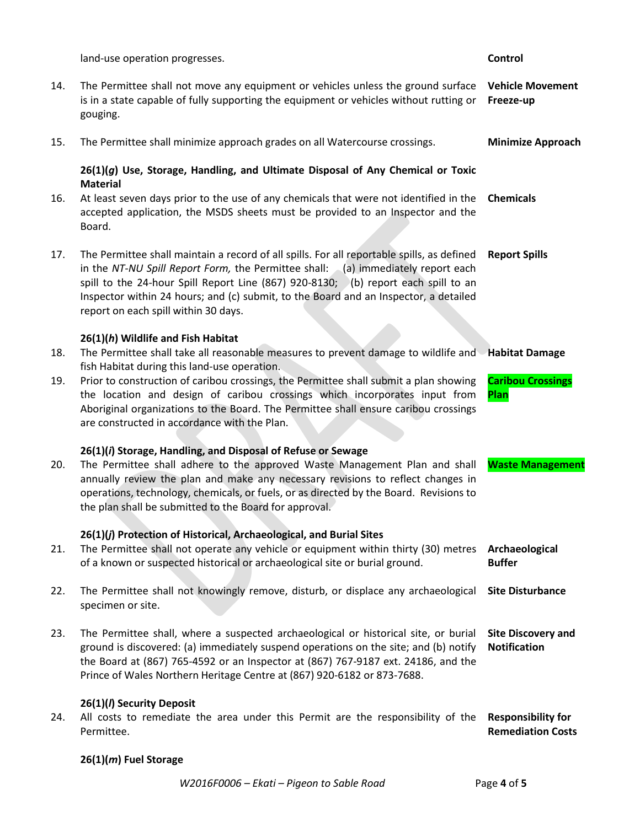land-use operation progresses. **Control** 14. The Permittee shall not move any equipment or vehicles unless the ground surface **Vehicle Movement**  is in a state capable of fully supporting the equipment or vehicles without rutting or **Freeze-up** gouging. 15. The Permittee shall minimize approach grades on all Watercourse crossings. **Minimize Approach 26(1)(***g***) Use, Storage, Handling, and Ultimate Disposal of Any Chemical or Toxic Material** 16. At least seven days prior to the use of any chemicals that were not identified in the **Chemicals**  accepted application, the MSDS sheets must be provided to an Inspector and the Board. 17. The Permittee shall maintain a record of all spills. For all reportable spills, as defined in the *NT-NU Spill Report Form,* the Permittee shall: (a) immediately report each spill to the 24-hour Spill Report Line (867) 920-8130; (b) report each spill to an Inspector within 24 hours; and (c) submit, to the Board and an Inspector, a detailed report on each spill within 30 days. **Report Spills 26(1)(***h***) Wildlife and Fish Habitat**  18. The Permittee shall take all reasonable measures to prevent damage to wildlife and **Habitat Damage** fish Habitat during this land-use operation. 19. Prior to construction of caribou crossings, the Permittee shall submit a plan showing the location and design of caribou crossings which incorporates input from Aboriginal organizations to the Board. The Permittee shall ensure caribou crossings are constructed in accordance with the Plan. **Caribou Crossings Plan 26(1)(***i***) Storage, Handling, and Disposal of Refuse or Sewage** 20. The Permittee shall adhere to the approved Waste Management Plan and shall annually review the plan and make any necessary revisions to reflect changes in operations, technology, chemicals, or fuels, or as directed by the Board. Revisions to the plan shall be submitted to the Board for approval. **Waste Management 26(1)(***j***) Protection of Historical, Archaeological, and Burial Sites** 21. The Permittee shall not operate any vehicle or equipment within thirty (30) metres **Archaeological**  of a known or suspected historical or archaeological site or burial ground. **Buffer**  22. The Permittee shall not knowingly remove, disturb, or displace any archaeological **Site Disturbance** specimen or site. 23. The Permittee shall, where a suspected archaeological or historical site, or burial ground is discovered: (a) immediately suspend operations on the site; and (b) notify the Board at (867) 765-4592 or an Inspector at (867) 767-9187 ext. 24186, and the Prince of Wales Northern Heritage Centre at (867) 920-6182 or 873-7688. **Site Discovery and Notification 26(1)(***l***) Security Deposit** 24. All costs to remediate the area under this Permit are the responsibility of the **Responsibility for**  Permittee. **Remediation Costs**

## **26(1)(***m***) Fuel Storage**